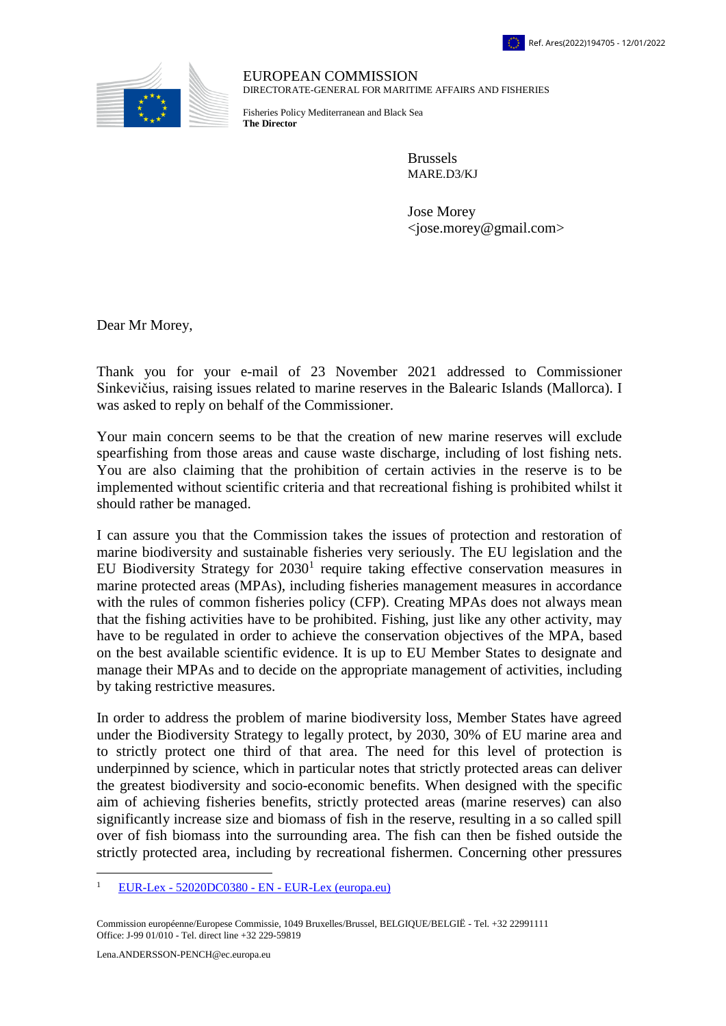

EUROPEAN COMMISSION DIRECTORATE-GENERAL FOR MARITIME AFFAIRS AND FISHERIES

Fisheries Policy Mediterranean and Black Sea **The Director**

> Brussels MARE.D3/KJ

Jose Morey  $\langle$ jose.morey@gmail.com $>$ 

Dear Mr Morey,

Thank you for your e-mail of 23 November 2021 addressed to Commissioner Sinkevičius, raising issues related to marine reserves in the Balearic Islands (Mallorca). I was asked to reply on behalf of the Commissioner.

Your main concern seems to be that the creation of new marine reserves will exclude spearfishing from those areas and cause waste discharge, including of lost fishing nets. You are also claiming that the prohibition of certain activies in the reserve is to be implemented without scientific criteria and that recreational fishing is prohibited whilst it should rather be managed.

I can assure you that the Commission takes the issues of protection and restoration of marine biodiversity and sustainable fisheries very seriously. The EU legislation and the EU Biodiversity Strategy for  $2030<sup>1</sup>$  require taking effective conservation measures in marine protected areas (MPAs), including fisheries management measures in accordance with the rules of common fisheries policy (CFP). Creating MPAs does not always mean that the fishing activities have to be prohibited. Fishing, just like any other activity, may have to be regulated in order to achieve the conservation objectives of the MPA, based on the best available scientific evidence. It is up to EU Member States to designate and manage their MPAs and to decide on the appropriate management of activities, including by taking restrictive measures.

In order to address the problem of marine biodiversity loss, Member States have agreed under the Biodiversity Strategy to legally protect, by 2030, 30% of EU marine area and to strictly protect one third of that area. The need for this level of protection is underpinned by science, which in particular notes that strictly protected areas can deliver the greatest biodiversity and socio-economic benefits. When designed with the specific aim of achieving fisheries benefits, strictly protected areas (marine reserves) can also significantly increase size and biomass of fish in the reserve, resulting in a so called spill over of fish biomass into the surrounding area. The fish can then be fished outside the strictly protected area, including by recreational fishermen. Concerning other pressures

 $\overline{a}$ 

<sup>&</sup>lt;sup>1</sup> EUR-Lex -  $52020DC0380$  - EN - [EUR-Lex \(europa.eu\)](https://eur-lex.europa.eu/legal-content/EN/TXT/?qid=1590574123338&uri=CELEX:52020DC0380)

Commission européenne/Europese Commissie, 1049 Bruxelles/Brussel, BELGIQUE/BELGIË - Tel. +32 22991111 Office: J-99 01/010 - Tel. direct line +32 229-59819